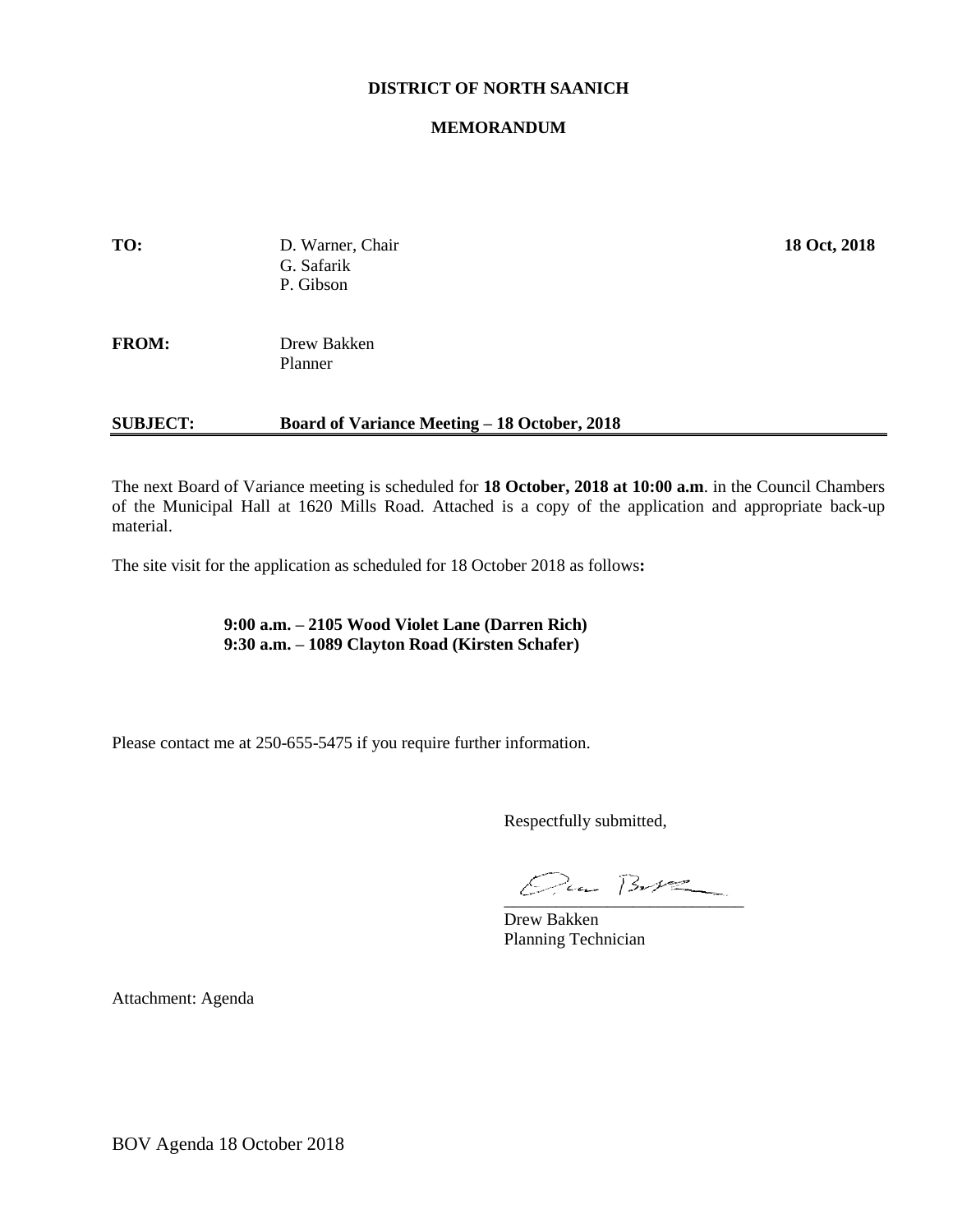#### **DISTRICT OF NORTH SAANICH**

#### **MEMORANDUM**

| <b>SUBJECT:</b> | <b>Board of Variance Meeting – 18 October, 2018</b> |              |
|-----------------|-----------------------------------------------------|--------------|
| <b>FROM:</b>    | Drew Bakken<br>Planner                              |              |
| TO:             | D. Warner, Chair<br>G. Safarik<br>P. Gibson         | 18 Oct, 2018 |

The next Board of Variance meeting is scheduled for **18 October, 2018 at 10:00 a.m**. in the Council Chambers of the Municipal Hall at 1620 Mills Road. Attached is a copy of the application and appropriate back-up material.

The site visit for the application as scheduled for 18 October 2018 as follows**:**

**9:00 a.m. – 2105 Wood Violet Lane (Darren Rich) 9:30 a.m. – 1089 Clayton Road (Kirsten Schafer)**

Please contact me at 250-655-5475 if you require further information.

Respectfully submitted,

 $Qua B-V2$ 

Drew Bakken Planning Technician

Attachment: Agenda

BOV Agenda 18 October 2018